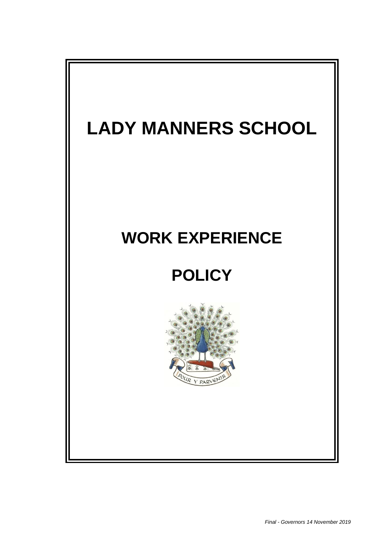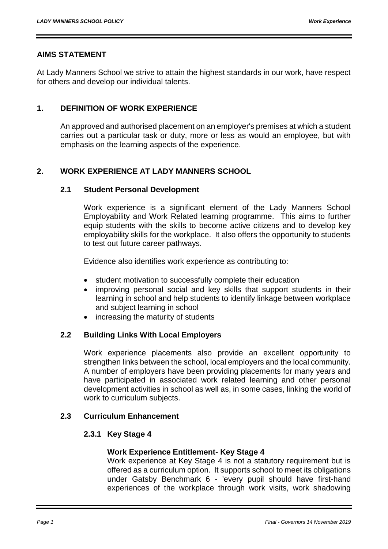## **AIMS STATEMENT**

At Lady Manners School we strive to attain the highest standards in our work, have respect for others and develop our individual talents.

## **1. DEFINITION OF WORK EXPERIENCE**

An approved and authorised placement on an employer's premises at which a student carries out a particular task or duty, more or less as would an employee, but with emphasis on the learning aspects of the experience.

# **2. WORK EXPERIENCE AT LADY MANNERS SCHOOL**

#### **2.1 Student Personal Development**

Work experience is a significant element of the Lady Manners School Employability and Work Related learning programme. This aims to further equip students with the skills to become active citizens and to develop key employability skills for the workplace. It also offers the opportunity to students to test out future career pathways.

Evidence also identifies work experience as contributing to:

- student motivation to successfully complete their education
- improving personal social and key skills that support students in their learning in school and help students to identify linkage between workplace and subject learning in school
- increasing the maturity of students

## **2.2 Building Links With Local Employers**

Work experience placements also provide an excellent opportunity to strengthen links between the school, local employers and the local community. A number of employers have been providing placements for many years and have participated in associated work related learning and other personal development activities in school as well as, in some cases, linking the world of work to curriculum subjects.

#### **2.3 Curriculum Enhancement**

#### **2.3.1 Key Stage 4**

#### **Work Experience Entitlement- Key Stage 4**

Work experience at Key Stage 4 is not a statutory requirement but is offered as a curriculum option. It supports school to meet its obligations under Gatsby Benchmark 6 - 'every pupil should have first-hand experiences of the workplace through work visits, work shadowing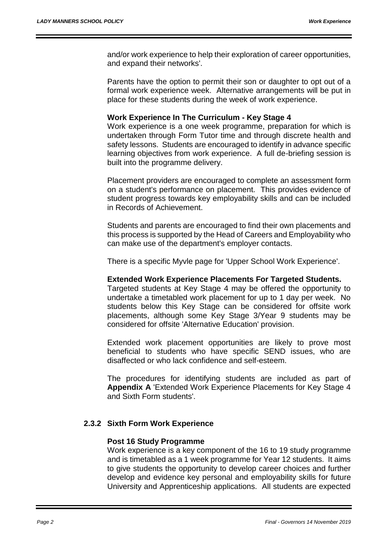and/or work experience to help their exploration of career opportunities, and expand their networks'.

Parents have the option to permit their son or daughter to opt out of a formal work experience week. Alternative arrangements will be put in place for these students during the week of work experience.

#### **Work Experience In The Curriculum - Key Stage 4**

Work experience is a one week programme, preparation for which is undertaken through Form Tutor time and through discrete health and safety lessons. Students are encouraged to identify in advance specific learning objectives from work experience. A full de-briefing session is built into the programme delivery.

Placement providers are encouraged to complete an assessment form on a student's performance on placement. This provides evidence of student progress towards key employability skills and can be included in Records of Achievement.

Students and parents are encouraged to find their own placements and this process is supported by the Head of Careers and Employability who can make use of the department's employer contacts.

There is a specific Myvle page for 'Upper School Work Experience'.

#### **Extended Work Experience Placements For Targeted Students.**

Targeted students at Key Stage 4 may be offered the opportunity to undertake a timetabled work placement for up to 1 day per week. No students below this Key Stage can be considered for offsite work placements, although some Key Stage 3/Year 9 students may be considered for offsite 'Alternative Education' provision.

Extended work placement opportunities are likely to prove most beneficial to students who have specific SEND issues, who are disaffected or who lack confidence and self-esteem.

The procedures for identifying students are included as part of **Appendix A** 'Extended Work Experience Placements for Key Stage 4 and Sixth Form students'.

#### **2.3.2 Sixth Form Work Experience**

#### **Post 16 Study Programme**

Work experience is a key component of the 16 to 19 study programme and is timetabled as a 1 week programme for Year 12 students. It aims to give students the opportunity to develop career choices and further develop and evidence key personal and employability skills for future University and Apprenticeship applications. All students are expected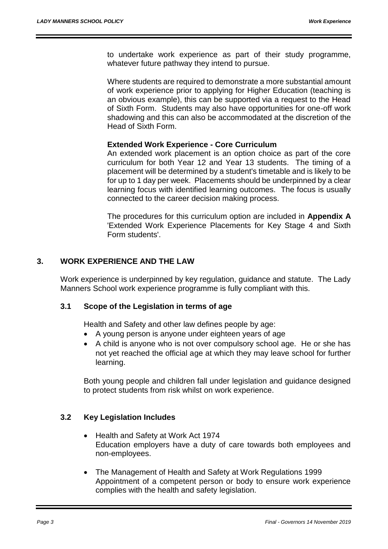to undertake work experience as part of their study programme, whatever future pathway they intend to pursue.

Where students are required to demonstrate a more substantial amount of work experience prior to applying for Higher Education (teaching is an obvious example), this can be supported via a request to the Head of Sixth Form. Students may also have opportunities for one-off work shadowing and this can also be accommodated at the discretion of the Head of Sixth Form.

#### **Extended Work Experience - Core Curriculum**

An extended work placement is an option choice as part of the core curriculum for both Year 12 and Year 13 students. The timing of a placement will be determined by a student's timetable and is likely to be for up to 1 day per week. Placements should be underpinned by a clear learning focus with identified learning outcomes. The focus is usually connected to the career decision making process.

The procedures for this curriculum option are included in **Appendix A** 'Extended Work Experience Placements for Key Stage 4 and Sixth Form students'.

## **3. WORK EXPERIENCE AND THE LAW**

Work experience is underpinned by key regulation, guidance and statute. The Lady Manners School work experience programme is fully compliant with this.

#### **3.1 Scope of the Legislation in terms of age**

Health and Safety and other law defines people by age:

- A young person is anyone under eighteen years of age
- A child is anyone who is not over compulsory school age. He or she has not yet reached the official age at which they may leave school for further learning.

Both young people and children fall under legislation and guidance designed to protect students from risk whilst on work experience.

## **3.2 Key Legislation Includes**

- Health and Safety at Work Act 1974 Education employers have a duty of care towards both employees and non-employees.
- The Management of Health and Safety at Work Regulations 1999 Appointment of a competent person or body to ensure work experience complies with the health and safety legislation.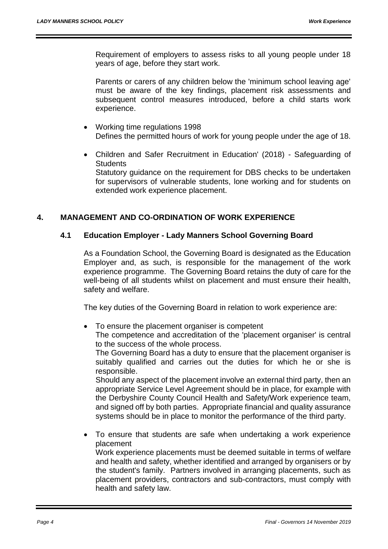Requirement of employers to assess risks to all young people under 18 years of age, before they start work.

Parents or carers of any children below the 'minimum school leaving age' must be aware of the key findings, placement risk assessments and subsequent control measures introduced, before a child starts work experience.

- Working time regulations 1998 Defines the permitted hours of work for young people under the age of 18.
- Children and Safer Recruitment in Education' (2018) Safeguarding of **Students** Statutory guidance on the requirement for DBS checks to be undertaken for supervisors of vulnerable students, lone working and for students on

# **4. MANAGEMENT AND CO-ORDINATION OF WORK EXPERIENCE**

extended work experience placement.

#### **4.1 Education Employer - Lady Manners School Governing Board**

As a Foundation School, the Governing Board is designated as the Education Employer and, as such, is responsible for the management of the work experience programme. The Governing Board retains the duty of care for the well-being of all students whilst on placement and must ensure their health, safety and welfare.

The key duties of the Governing Board in relation to work experience are:

• To ensure the placement organiser is competent

health and safety law.

The competence and accreditation of the 'placement organiser' is central to the success of the whole process.

The Governing Board has a duty to ensure that the placement organiser is suitably qualified and carries out the duties for which he or she is responsible.

Should any aspect of the placement involve an external third party, then an appropriate Service Level Agreement should be in place, for example with the Derbyshire County Council Health and Safety/Work experience team, and signed off by both parties. Appropriate financial and quality assurance systems should be in place to monitor the performance of the third party.

 To ensure that students are safe when undertaking a work experience placement Work experience placements must be deemed suitable in terms of welfare and health and safety, whether identified and arranged by organisers or by the student's family. Partners involved in arranging placements, such as placement providers, contractors and sub-contractors, must comply with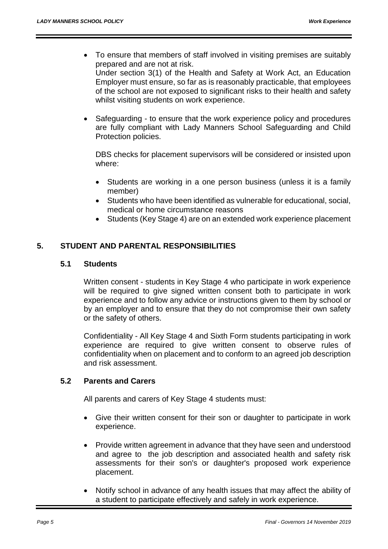- To ensure that members of staff involved in visiting premises are suitably prepared and are not at risk. Under section 3(1) of the Health and Safety at Work Act, an Education Employer must ensure, so far as is reasonably practicable, that employees of the school are not exposed to significant risks to their health and safety whilst visiting students on work experience.
- Safeguarding to ensure that the work experience policy and procedures are fully compliant with Lady Manners School Safeguarding and Child Protection policies.

DBS checks for placement supervisors will be considered or insisted upon where:

- Students are working in a one person business (unless it is a family member)
- Students who have been identified as vulnerable for educational, social, medical or home circumstance reasons
- Students (Key Stage 4) are on an extended work experience placement

## **5. STUDENT AND PARENTAL RESPONSIBILITIES**

#### **5.1 Students**

Written consent - students in Key Stage 4 who participate in work experience will be required to give signed written consent both to participate in work experience and to follow any advice or instructions given to them by school or by an employer and to ensure that they do not compromise their own safety or the safety of others.

Confidentiality - All Key Stage 4 and Sixth Form students participating in work experience are required to give written consent to observe rules of confidentiality when on placement and to conform to an agreed job description and risk assessment.

## **5.2 Parents and Carers**

All parents and carers of Key Stage 4 students must:

- Give their written consent for their son or daughter to participate in work experience.
- Provide written agreement in advance that they have seen and understood and agree to the job description and associated health and safety risk assessments for their son's or daughter's proposed work experience placement.
- Notify school in advance of any health issues that may affect the ability of a student to participate effectively and safely in work experience.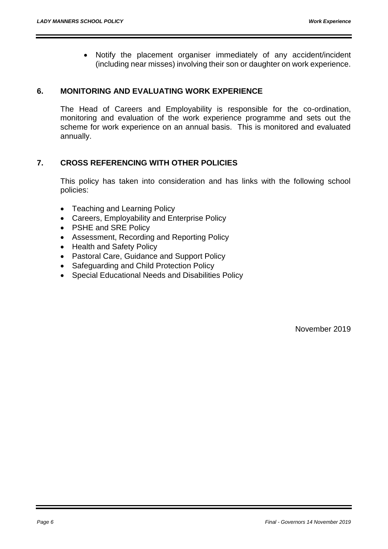Notify the placement organiser immediately of any accident/incident (including near misses) involving their son or daughter on work experience.

## **6. MONITORING AND EVALUATING WORK EXPERIENCE**

The Head of Careers and Employability is responsible for the co-ordination, monitoring and evaluation of the work experience programme and sets out the scheme for work experience on an annual basis. This is monitored and evaluated annually.

# **7. CROSS REFERENCING WITH OTHER POLICIES**

This policy has taken into consideration and has links with the following school policies:

- Teaching and Learning Policy
- Careers, Employability and Enterprise Policy
- PSHE and SRE Policy
- Assessment, Recording and Reporting Policy
- [Health and Safety](http://folders.ladymanners.derbyshire.sch.uk/governors/School%20Policies%20and%20Procedures/Health%20and%20Safety%20Pol.htm) Policy
- Pastoral Care, Guidance and Support Policy
- Safeguarding and Child Protection Policy
- Special Educational Needs and Disabilities Policy

November 2019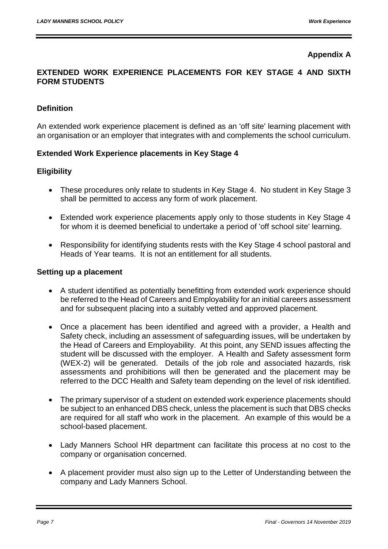# **Appendix A**

## **EXTENDED WORK EXPERIENCE PLACEMENTS FOR KEY STAGE 4 AND SIXTH FORM STUDENTS**

## **Definition**

An extended work experience placement is defined as an 'off site' learning placement with an organisation or an employer that integrates with and complements the school curriculum.

## **Extended Work Experience placements in Key Stage 4**

# **Eligibility**

- These procedures only relate to students in Key Stage 4. No student in Key Stage 3 shall be permitted to access any form of work placement.
- Extended work experience placements apply only to those students in Key Stage 4 for whom it is deemed beneficial to undertake a period of 'off school site' learning.
- Responsibility for identifying students rests with the Key Stage 4 school pastoral and Heads of Year teams. It is not an entitlement for all students.

#### **Setting up a placement**

- A student identified as potentially benefitting from extended work experience should be referred to the Head of Careers and Employability for an initial careers assessment and for subsequent placing into a suitably vetted and approved placement.
- Once a placement has been identified and agreed with a provider, a Health and Safety check, including an assessment of safeguarding issues, will be undertaken by the Head of Careers and Employability. At this point, any SEND issues affecting the student will be discussed with the employer. A Health and Safety assessment form (WEX-2) will be generated. Details of the job role and associated hazards, risk assessments and prohibitions will then be generated and the placement may be referred to the DCC Health and Safety team depending on the level of risk identified.
- The primary supervisor of a student on extended work experience placements should be subject to an enhanced DBS check, unless the placement is such that DBS checks are required for all staff who work in the placement. An example of this would be a school-based placement.
- Lady Manners School HR department can facilitate this process at no cost to the company or organisation concerned.
- A placement provider must also sign up to the Letter of Understanding between the company and Lady Manners School.